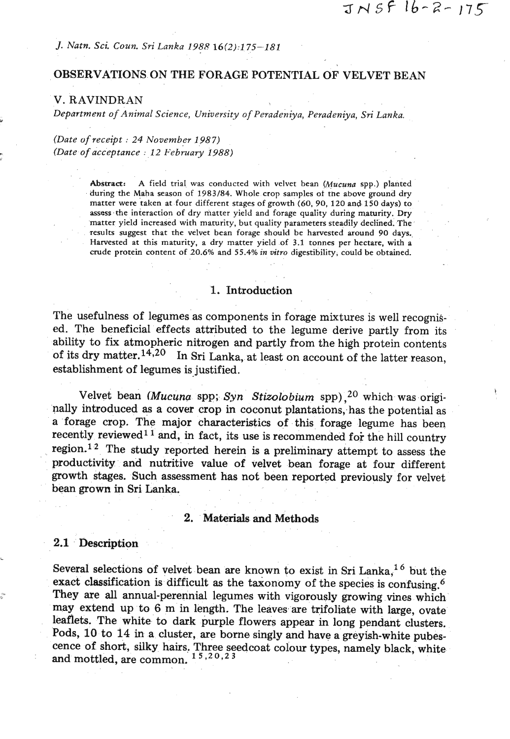## *J. Natn. Sci. Coun. Sri Lanka 1988 16(2):175-181*

# OBSERVATIONS ON THE FORAGE POTENTIAL OF VELVET BEAN

## *V. RAVINDRAN*

*Department of Animal Science, University of Peradeniya, Peradeniya, Sri Lanka.* \*

*(Date of receipt* : *24 November 1987) (Date of acceptance* : *12 February 1988)* **i** 

> Abstract: A field trial was conducted with velvet bean (Mucuna spp.) planted during the Maha season of 1983/84. Whole crop samples of the above ground dry matter were taken at four different stages of growth (60, 90, 120 and 150 days) to assess the interaction of dry matter yield and forage quality during maturity. **Dry**  matter yield increased with maturity, but quality parameters steadily declined. The results suggest that the velvet bean forage should be harvested around **90** days. Harvested at this maturity, a dry matter yield of 3.1 tonnes per hectare, with a crude protein content of **20.6%** and **55.4%** in **mtro** digestibility, could be obtained.

## 1. Introduction

The usefulness of legumes as components in forage mixtures is well recognised. The beneficial effects attributed to the legume derive partly from its ability to fix atmopheric nitrogen and partly from the high protein contents of its dry matter.<sup>14,20</sup> In Sri Lanka, at least on account of the latter reason, establishment of legumes is justified.

Velvet bean *(Mucuna spp; Syn Stizolobium spp)*,<sup>20</sup> which was originally introduced as a cover crop in coconut plantations, has the potential as a forage crop. The major characteristics of this forage legume has been recently reviewed<sup>11</sup> and, in fact, its use is recommended for the hill country region.<sup>12</sup> The study reported herein is a preliminary attempt to assess the productiviby and nutritive value of velvet bean forage at four different growth stages. Such assessment has not been reported previously for velvet bean grown in Sri Lanka.

## 2. Materials and Methods

### 2.1 Description

Several selections of velvet bean are known to exist in Sri Lanka,  $^{16}$  but the exact classification is difficult as the taxonomy of the species is confusing.<sup>6</sup> They are all annual-perennial legumes with vigorously growing vines which may extend up to 6 m in length. The leaves are trifoliate with large, ovate leaflets. The white to dark purple flowers appear in long pendant clusters. Pods, 10 to 14 in a cluster, are borne singly and have a greyish-white pubesence of short, silky hairs. Three seedcoat colour types, namely black, white and mottled, are common.  $1^{\overline{5},20,23}$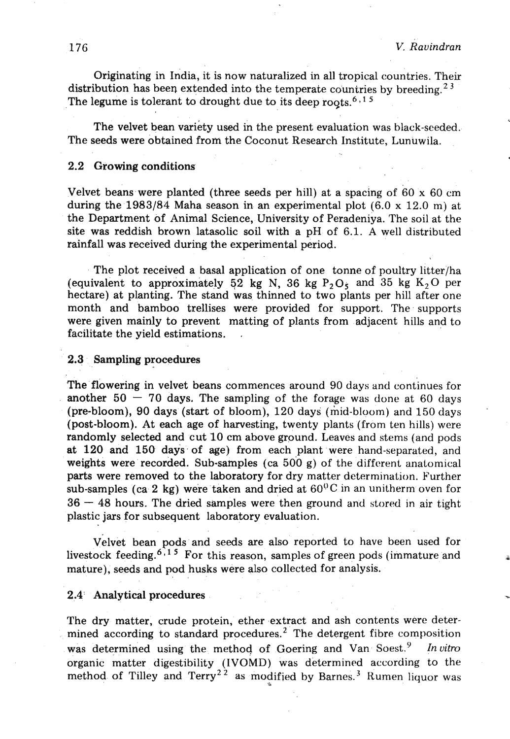Originating in India, it is now naturalized in all tropical countries. Their distribution has been extended into the temperate countries by breeding.<sup>23</sup> The legume is tolerant to drought due to its deep roots.<sup>6,15</sup>

The velvet bean variety used in the present evaluation was black-seeded. The seeds were obtained from the Coconut Research Institute, Lunuwila.

#### 2.2 Growing conditions

Velvet beans were planted (three seeds per hill) at a spacing of  $60 \times 60$  cm during the 1983/84 Maha season in an experimental plot  $(6.0 \times 12.0 \text{ m})$  at the Department of Animal Science, University of Peradeniya. The soil at the site was reddish brown latasolic soil with a pH of 6.1. A well distributed rainfall was received during the experimental period.

The plot received a basal application of one tonne of poultry litter/ha (equivalent to approximately 52 kg N, 36 kg  $P_2O_5$  and 35 kg  $K_2O$  per hectare) at planting. The stand was thinned to two plants per hill after one month and bamboo trellises were provided for support. The supports were given mainly to prevent matting of plants from adjacent hills and to facilitate the yield estimations.

#### 2.3 Sampling procedures

The flowering in velvet beans commences around 90 days and continues for another  $50 - 70$  days. The sampling of the forage was done at 60 days (pre-bloom), 90 days (start of bloom), 120 days (mid-bloom) and 150 days (post-bloom). At each age of harvesting, twenty plants (from ten hills) were randomly selected and cut 10 cm above ground. Leaves and stems (and pods at 120 and 150 days of age) from each plant were hand-separated, and weights were recorded. Sub-samples (ca 500 g) of the different anatomical parts were removed to the laboratory for dry matter determination. Further sub-samples (ca 2 kg) were taken and dried at  $60^0$ C in an unitherm oven for  $36 - 48$  hours. The dried samples were then ground and stored in air tight plastic jars for subsequent laboratory evaluation.

Velvet bean pods and seeds are also reported to have been used for livestock feeding.<sup>6,15</sup> For this reason, samples of green pods (immature and mature), seeds and pod husks were also collected for analysis. mature), seeds and pod misks were also conected for analysis.<br>2.4' Analytical procedures

The dry matter, crude protein, ether extract and ash contents were determined according to standard procedures.<sup>2</sup> The detergent fibre composition was determined using the method of Goering and Van Soest.<sup>9</sup> Invitro organic matter digestibility (IVOMD) was determined according to the method of Tilley and  $Termy^{22}$  as modified by Barnes.<sup>3</sup> Rumen liquor was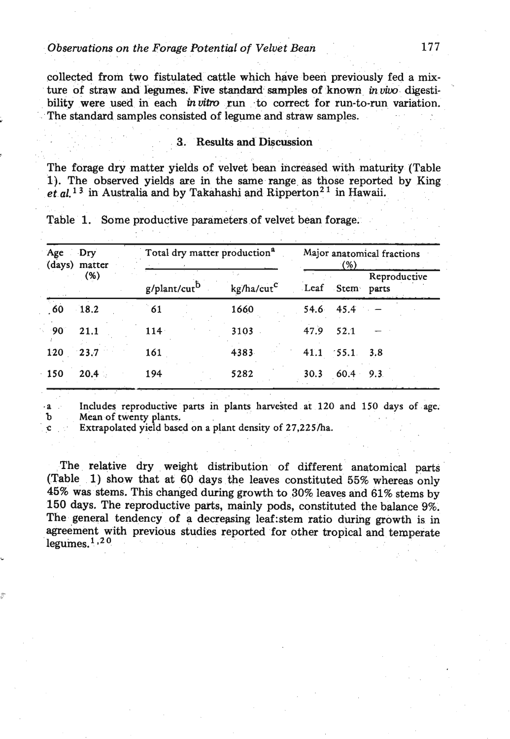collected from two fistulated cattle which have been previously fed a mixture of straw **and** legumes. **Five standard** samples of known in **vim** digestibility were used in each *in vitro* run to correct for run-to-run variation. The standard samples consisted of legume and straw samples.

### 3. Results and **Discussion**

The forage dry matter yields of velvet bean increased with maturity (Table 1). The observed yields are in the same range as those reported by King  $et al.<sup>13</sup>$  in Australia and by Takahashi and Ripperton<sup>21</sup> in Hawaii.

| Age Dry    | (days) matter<br>(%) | Total dry matter production <sup>a</sup> |                               | Major anatomical fractions<br>(%) |                     |              |
|------------|----------------------|------------------------------------------|-------------------------------|-----------------------------------|---------------------|--------------|
|            |                      | g/plant/cut <sup>b</sup>                 | ÷.,<br>kg/ha/cut <sup>c</sup> |                                   | Leaf Stem parts     | Reproductive |
| 60         | 18.2                 | 61                                       | 1660                          |                                   | 54.6 45.4           |              |
| $90^\circ$ | 21.1                 | $114 -$                                  | 3103                          | 47.9                              | 52.1                |              |
| 120        | $-23.7$              | 161                                      | 4383                          |                                   | $41.1$ $55.1$ $3.8$ |              |
| 150        | $20.4 -$             | 194                                      | 5282                          | 30.3                              | $60.4$ 9.3          |              |

Table 1. Some productive parameters of velvet bean forage.

**.a Includes reproductive parts in plants harvested at 120 and 150 days of age. b** Mean of twenty plants.

Extrapolated yield based on a plant density of 27,225/ha.

The relative dry weight distribution of different anatomical parts (Table 1) show that at **60** days the leaves constituted 55% whereas only 45% was stems. This changed during growth to **30%** leaves and **61%** stems by **150** days. The reproductive parts, mainly pods, constituted the balance 9%. The general tendency of a decreasing 1eaf:stem ratio during growth is in agreement with previous studies reported for other tropical and temperate  $legumes.<sup>1</sup>$ <sup>20</sup>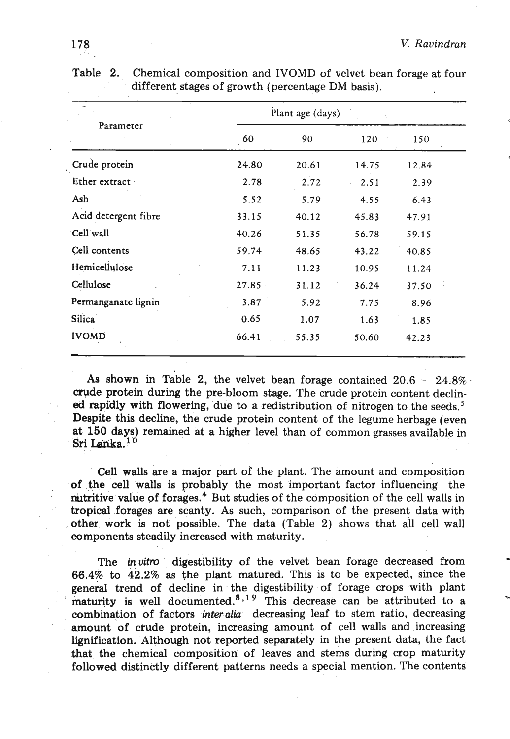|                      |       | Plant age (days) |            |       |
|----------------------|-------|------------------|------------|-------|
| Parameter            | 60    | 90               | 120        | 150   |
| Crude protein        | 24.80 | 20.61            | 14.75      | 12.84 |
| Ether extract        | 2.78  | 2.72             | 2.51<br>i. | 2.39  |
| Ash                  | 5.52  | 5.79             | 4.55       | 6.43  |
| Acid detergent fibre | 33.15 | 40.12            | 45.83      | 47.91 |
| Cell wall            | 40.26 | 51.35            | 56.78      | 59.15 |
| Cell contents        | 59.74 | $-48.65$         | 43.22      | 40.85 |
| Hemicellulose        | 7.11  | 11.23            | 10.95      | 11.24 |
| Cellulose            | 27.85 | 31.12            | 36.24      | 37.50 |
| Permanganate lignin  | 3.87  | 5.92             | 7.75       | 8.96  |
| Silica <sup>®</sup>  | 0.65  | 1.07             | 1.63       | 1.85  |
| <b>IVOMD</b>         | 66.41 | 55.35            | 50.60      | 42.23 |

Table 2. Chemical composition and IVOMD of velvet bean forage at four different stages of growth (percentage DM basis).

As shown in Table 2, the velvet bean forage contained  $20.6 - 24.8\%$ . crude protein during the pre-bloom stage. The crude protein content declined rapidly with flowering, due to a redistribution of nitrogen to the seeds.<sup>5</sup> Despite this decline, the crude protein content of the legume herbage (even at 150 days) remained at a higher level than of common grasses avaiIable in Sri Lanka.<sup>10</sup>

CeIl walls are a major part of the plant. The amount and composition of the cell walls is probably the most important factor influencing the mitritive value of forages.<sup>4</sup> But studies of the composition of the cell walls in tropical forages are scanty. As such, comparison of the present data with other work is not possible. The data (Table 2) shows that all cell wall components steadily increased with maturity. .

The in *vitro* digestibility of the velvet bean forage decreased from 66.4% to 42.2% as the plant matured. This is to be expected, since the general trend of decline in the digestibility of forage crops with plant maturity is well documented.<sup>8,19</sup> This decrease can be attributed to a ... combination of factors *interalia* decreasing leaf to stem ratio, decreasing amount of cfude protein, increasing amount of cell walls and increasing lignification. Although not reported separately in the present data, the fact that the chemical composition of leaves and stems during crop maturity followed distinctly different patterns needs a special mention. The contents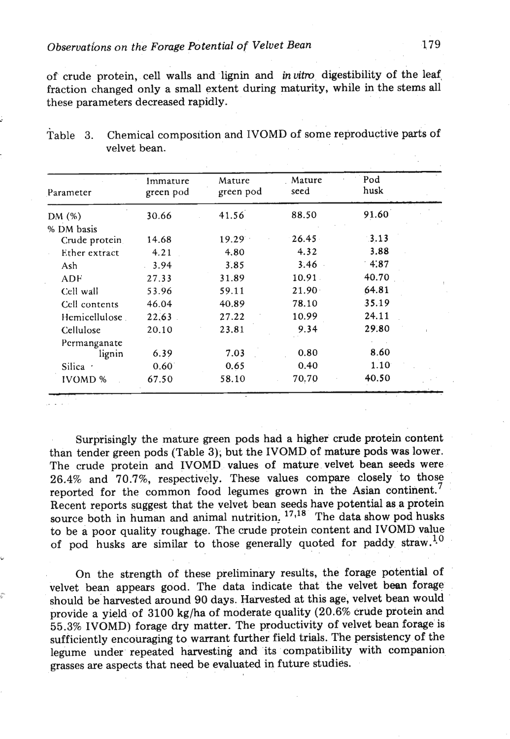of crude protein, cell walls and lignin and *in vitro* digestibility of the leaf, fraction changed only a small extent during maturity, while in the stems all these parameters decreased rapidly.

| Parameter      | Immature<br>green pod<br>30.66 | Mature<br>green pod<br>41.56 | Mature<br>seed | Pod<br>husk |  |
|----------------|--------------------------------|------------------------------|----------------|-------------|--|
| DM (%)         |                                |                              | 88.50          | 91.60       |  |
| % DM basis     |                                |                              |                |             |  |
| Crude protein  | 14.68                          | 19.29                        | 26.45          | 3.13        |  |
| Ether extract  | 4.21                           | 4.80                         | 4.32           | 3.88        |  |
| Ash            | 3.94                           | 3.85                         | 3.46           | 4.87        |  |
| ADF            | 27.33                          | 31.89                        | 10.91          | 40.70       |  |
| Cell wall      | 53.96                          | 59.11                        | $21.90-1$      | 64.81       |  |
| Cell contents  | 46.04                          | 40.89                        | 78.10          | 35.19       |  |
| Hemicellulose. | 22.63                          | 27.22                        | 10.99          | 24.11       |  |
| Cellulose      | 20.10                          | 23.81                        | 9.34           | 29.80       |  |
| Permanganate   |                                |                              |                |             |  |
| lignin         | 6.39                           | 7.03                         | 0.80           | 8.60        |  |
| Silica ·       | $0.60^{\circ}$                 | 0.65                         | 0.40           | $1.10^{6}$  |  |
| <b>IVOMD %</b> | 67.50                          | 58.10                        | 70.70          | 40.50       |  |

| Table 3. | Chemical composition and IVOMD of some reproductive parts of |
|----------|--------------------------------------------------------------|
|          | velvet bean.                                                 |

Surprisingly the mature green pods had a higher crude protein content than tender green pods (Table 3); but the IVOMD of mature pods was lower. The crude protein and IVOMD values of mature velvet bean seeds were 26.4% and 70.7%, respectively. These values compare closely to those reported for the common food legumes grown in the Asian continent.<sup>7</sup> Recent reports suggest that the velvet bean seeds have potential as a protein source both in human and animal nutrition, <sup>17,18</sup> The data show pod husks to be a poor quality roughage. The crude protein content and IVOMD value of pod husks are similar to those generally quoted for paddy straw.<sup>10</sup>

On the strength of these preliminary results, the forage potential of velvet bean appears good. The data indicate that the velvet bean forage **<sup>2</sup>**should be harvested around 90 days. Harvested at this age, velvet bean would provide a yield of 3100 kg/ha of moderate quality (20.6% crude protein and 55.3% IVOMD) forage dry matter. The productivity of velvet bean forage is sufficiently encouraging to warrant further field trials. The persistency of the legume under repeated harvesting and its compatibility with companion grasses are aspects that need be evaluated in future studies.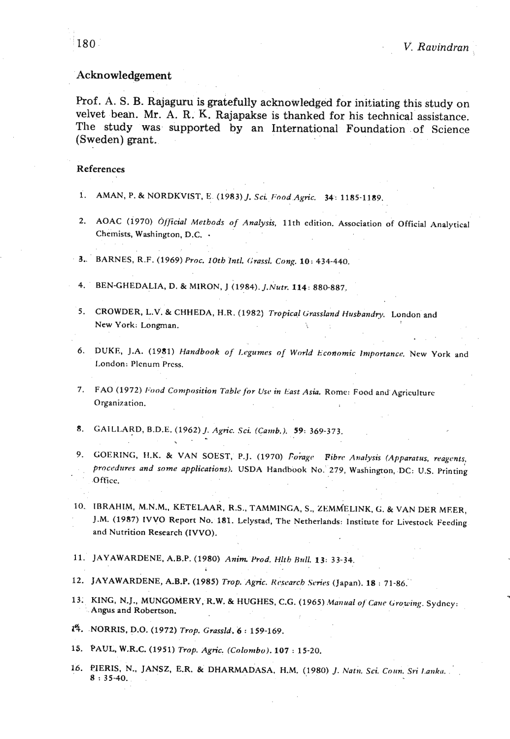### Acknowledgement

Prof. A. S. B. Rajaguru is gratefully acknowledged for initiating this study on velvet bean. Mr. A. R. K. Rajapakse is thanked for his technical assistance. The study was supported by an International Foundation of Science (Sweden) grant.

#### **References**

- 1. AMAN, P. & NORDKVIST, E. (1983) *J. Sci. Food Agric.* 34: 1185-1189.
- 2. AOAC (1970) *Official Methods of Analysis*, 11th edition. Association of Official Analytical Chemists, Washington, D.C. -
- **3..** BARNES, R.F. (1969) *Proc. 10th Intl. (;rassl. Cong.* **10:** 434-440.
- 4. BEN-GHEDALIA, D. & MIRON, J (1984). *J.Nutr.* 114: 880-887.
- 5. CROWDER, L.V. & CHHEDA, H.R. (1982) *Tropical Grassland Husbandry*. London and New York. Longman.
- 6. DUKE, J.A. (1981) *Handbook of Legumes of World Economic Importance*. New York and London: Plenum Press.
- 7. FAO (1972) *Food Composition Table for Use in East Asia*. Rome: Food and Agriculturc Organization.
- **8.** CAILLARD, B.D.E. (1962) J. *Agric. Sci. (Camb.). 59:* 369-373.
- 9. GOERING, H.K. & VAN SOEST, P.J. (1970) *Forage Fibre Analysis (Apparatus, reagents*, *procc~durczs and some applications).* USDA Hantlbook No. 279, Washington, DC: U.S. Printing Office.
- **10.** IBRAHIM, M.N.M., KETELAAR, R.s., TAMMINCA. s., ZBM~ELINK. *G.* &VAN **DER MEER,**  J.M. (1987) IVVO Report No. 181. Lelystad. The Netherlahds: Institute for Livestock Feeding and Nutrition Research (IVVO).
- 11. JAYAWARDENE, A.B.P. (1980) *Anim Prod. Hlth Hftll.* **13:** 33-34.
- 12. JAYAWARDENE, A.B.P. (1985) *Trop. Agric. Research Series* (Japan). 18 : 71-86.
- 13. KING, N.J., MUNGOMERY, R.W. & HUGHES, C.G. (1965) *Manual of Cane Growing*. Sydney: Angus and Robertson.
- **1q.** .NORRE, D.O. (1972) *Trop. Grassid..* **<sup>6</sup>**: 159-169.
- 15. PAUL, W.R.C. (1951) *Trop. Agrric. (Colombo).* **107** : 15-20.
- 16. PIERIS, N., JANSZ, E.R. & DHARMADASA, H.M. (1980) J. Natn. Sci. Coun. Sri Lanka.  $8:35-40.$